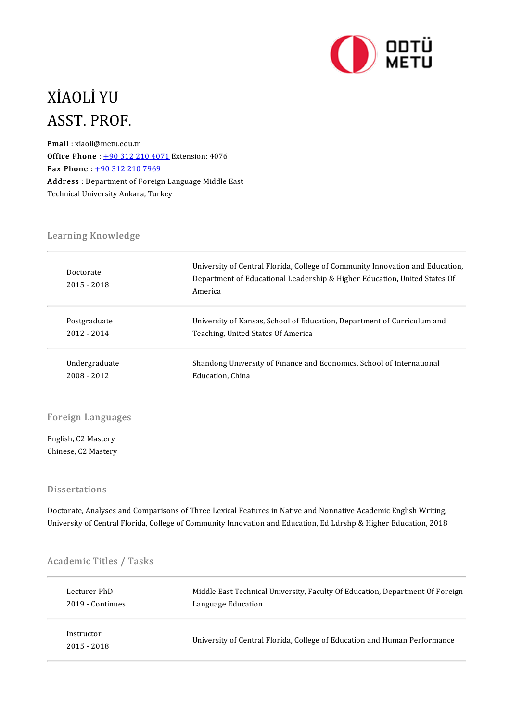

# XİAOLİYU XIAOLI YU<br>ASST. PROF.<br><sup>Email</sup> : xiaoli@metu.edu.

ASST. PROF.<br>Email : xiaoli@metu.edu.tr<br>Office Phane : 190.212.22 **Email**: xiaoli@metu.edu.tr<br>Office Phone :  $\pm 903122104071$  Extension: 4076 Fax Phone:  $+903122107969$  $+903122107969$ Office Phone : <u>+90 312 210 4071</u> Extension: 4076<br>Fax Phone : <u>+90 312 210 7969</u><br>Address : Department of Foreign Language Middle East<br>Technical University Ankara Turkey Fax Phone : <u>+90 312 210 7969</u><br>Address : Department of Foreign La<br>Technical University Ankara, Turkey Technical University Ankara, Turkey<br>Learning Knowledge

| Learning Knowledge       |                                                                                                                                                                       |
|--------------------------|-----------------------------------------------------------------------------------------------------------------------------------------------------------------------|
| Doctorate<br>2015 - 2018 | University of Central Florida, College of Community Innovation and Education,<br>Department of Educational Leadership & Higher Education, United States Of<br>America |
| Postgraduate             | University of Kansas, School of Education, Department of Curriculum and                                                                                               |
| $2012 - 2014$            | Teaching, United States Of America                                                                                                                                    |
| Undergraduate            | Shandong University of Finance and Economics, School of International                                                                                                 |
| 2008 - 2012              | Education, China                                                                                                                                                      |

Foreign Languages

Foreign Langua<br>English, C2 Mastery<br>Chinese C2 Mastery English, C2 Mastery<br>Chinese, C2 Mastery

### **Dissertations**

Doctorate, Analyses and Comparisons of Three Lexical Features in Native and Nonnative Academic English Writing, University of Central Florida, College of Community Innovation and Education, Ed Ldrshp & Higher Education, 2018

# oniversity of central Florida, Contra<br>Academic Titles / Tasks

| Academic Titles / Tasks |                                                                               |
|-------------------------|-------------------------------------------------------------------------------|
| Lecturer PhD            | Middle East Technical University, Faculty Of Education, Department Of Foreign |
| 2019 Continues          | Language Education                                                            |
| Instructor              | University of Central Florida, College of Education and Human Performance     |
| $2015 - 2018$           |                                                                               |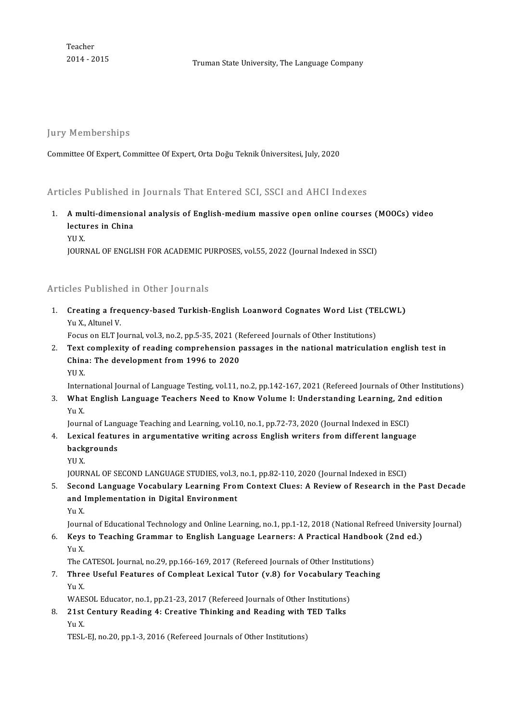Teacher<br>2014 - 2015

2014-2015 TrumanStateUniversity,The LanguageCompany

Jury Memberships

Committee Of Expert, Committee Of Expert, Orta Doğu Teknik Üniversitesi, July, 2020

Articles Published in Journals That Entered SCI, SSCI and AHCI Indexes

- Inticles Published in Journals That Entered SCI, SSCI and AHCI Indexes<br>1. A multi-dimensional analysis of English-medium massive open online courses (MOOCs) video lectures in China<br>A multi-dimension<br>lectures in China<br>vu v **A mu<br>lectu<br>YU X.**<br>IOUP! lectures in China<br>YU X.<br>JOURNAL OF ENGLISH FOR ACADEMIC PURPOSES, vol.55, 2022 (Journal Indexed in SSCI)
	-

### Articles Published in Other Journals

Irticles Published in Other Journals<br>1. Creating a frequency-based Turkish-English Loanword Cognates Word List (TELCWL)<br>Yu Yultupel V These Platinum<br>Creating a free<br>Yu X., Altunel V.<br>Focus on El T. Jo Creating a frequency-based Turkish-English Loanword Cognates Word List (TE<br>Yu X., Altunel V.<br>Focus on ELT Journal, vol.3, no.2, pp.5-35, 2021 (Refereed Journals of Other Institutions)<br>Text complexity of reading comprehensi

Yu X., Altunel V.<br>2. Text complexity of reading comprehension passages in the national matriculation english test in<br>2. Text complexity of reading comprehension passages in the national matriculation english test in<br>6. Chi Focus on ELT Journal, vol.3, no.2, pp.5-35, 2021 (R<br>Text complexity of reading comprehension p<br>China: The development from 1996 to 2020<br>VU V Text<br>China<br>YU X.<br>Intern China: The development from 1996 to 2020<br>International Journal of Language Testing, vol.11, no.2, pp.142-167, 2021 (Refereed Journals of Other Institutions)

YU X.<br>International Journal of Language Testing, vol.11, no.2, pp.142-167, 2021 (Refereed Journals of Other Institut<br>3. What English Language Teachers Need to Know Volume I: Understanding Learning, 2nd edition<br>5. V. Interi<br><mark>Wha</mark><br>Yu X.<br>Jourr What English Language Teachers Need to Know Volume I: Understanding Learning, 2nd<br>Yu X.<br>Journal of Language Teaching and Learning, vol.10, no.1, pp.72-73, 2020 (Journal Indexed in ESCI)<br>Louisel features in argumentative wr

- Yu X.<br>Journal of Language Teaching and Learning, vol.10, no.1, pp.72-73, 2020 (Journal Indexed in ESCI)<br>4. Lexical features in argumentative writing across English writers from different language<br>backgrounds Journal of Lang<br><mark>Lexical featur</mark><br>backgrounds<br><sup>VII V</sup> Lexic<br>back<br>YU X.<br>IOUR! backgrounds<br>YU X.<br>JOURNAL OF SECOND LANGUAGE STUDIES, vol.3, no.1, pp.82-110, 2020 (Journal Indexed in ESCI)<br>Second Language Vesabulary Learning From Context Clues: A Beview of Besearch in th
	-

5. Second Language Vocabulary Learning FromContext Clues: A Reviewof Research in the Past Decade JOURNAL OF SECOND LANGUAGE STUDIES, vol.3,<br>Second Language Vocabulary Learning Froi<br>and Implementation in Digital Environment<br><sub>Vu</sub> v and Implementation in Digital Environment<br>Yu X. and Implementation in Digital Environment<br>Yu X.<br>Journal of Educational Technology and Online Learning, no.1, pp.1-12, 2018 (National Refreed University Journal)<br>Kove to Teaching Crammar to English Language Learners: A Prac

6. Keys to Teaching Grammar to English Language Learners: A Practical Handbook (2nd ed.) Journ<br><mark>Keys</mark><br>Yu X.<br>The C Keys to Teaching Grammar to English Language Learners: A Practical Handboc<br>Yu X.<br>The CATESOL Journal, no.29, pp.166-169, 2017 (Refereed Journals of Other Institutions)<br>Three Useful Features of Complect Levisel Tutor (y.9)

7. Three Useful Features of Compleat Lexical Tutor (v.8) for Vocabulary Teaching The C<br><mark>Thre</mark><br>Yu X.<br>WAE Three Useful Features of Compleat Lexical Tutor (v.8) for Vocabulary Te<br>Yu X.<br>WAESOL Educator, no.1, pp.21-23, 2017 (Refereed Journals of Other Institutions)<br>21st Contuny Booding 4: Creative Thinking and Booding with TED T 8. Yu X.<br>WAESOL Educator, no.1, pp.21-23, 2017 (Refereed Journals of Other Institutions)<br>8. 21st Century Reading 4: Creative Thinking and Reading with TED Talks

YuX.

TESL-EJ, no.20, pp.1-3, 2016 (Refereed Journals of Other Institutions)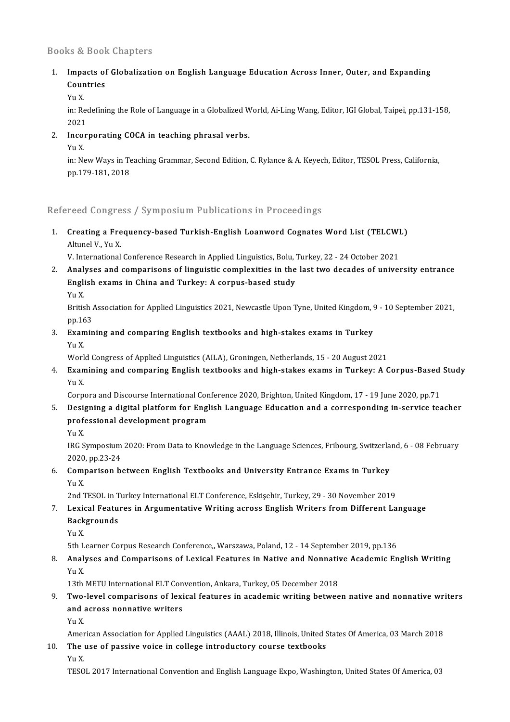### Books&Book Chapters

# looks & Book Chapters<br>1. Impacts of Globalization on English Language Education Across Inner, Outer, and Expanding<br>Countries Impacts of<br>Countries<br>Vu V Impa<br>Coun<br>Yu X.<br>in: <sup>De</sup>

Countries<br>Yu X.<br>in: Redefining the Role of Language in a Globalized World, Ai-Ling Wang, Editor, IGI Global, Taipei, pp.131-158,<br>2021 Yu X<br>in: Ree<br>2021<br>Inser in: Redefining the Role of Language in a Globalized W<br>2021<br>2. Incorporating COCA in teaching phrasal verbs.<br>2. V. Y. 2021<br>Incol<br>Yu X.<br>in: Ne

Incorporating COCA in teaching phrasal verbs.<br>Yu X.<br>in: New Ways in Teaching Grammar, Second Edition, C. Rylance & A. Keyech, Editor, TESOL Press, California, Yu X.<br>in: New Ways in Te<br>pp.179-181, 2018

# pp.179-181, 2018<br>Refereed Congress / Symposium Publications in Proceedings

Refereed Congress / Symposium Publications in Proceedings<br>1. Creating a Frequency-based Turkish-English Loanword Cognates Word List (TELCWL) reed aongre<br>Creating a Fre<br>Altunel V., Yu X.<br>V. International Creating a Frequency-based Turkish-English Loanword Cognates Word List (TELCWI<br>Altunel V., Yu X.<br>V. International Conference Research in Applied Linguistics, Bolu, Turkey, 22 - 24 October 2021<br>Analyses and comparisons of l

2. Altunel V., Yu X.<br>2. International Conference Research in Applied Linguistics, Bolu, Turkey, 22 - 24 October 2021<br>2. Analyses and comparisons of linguistic complexities in the last two decades of university entrance

V. International Conference Research in Applied Linguistics, Bolu, '<br>Analyses and comparisons of linguistic complexities in the<br>English exams in China and Turkey: A corpus-based study<br><sub>Vu</sub> v <mark>Anal</mark><br>Engli<br>Yu X.<br><sup>Pritio</sup>

E<mark>nglish exams in China and Turkey: A corpus-based study</mark><br>Yu X.<br>British Association for Applied Linguistics 2021, Newcastle Upon Tyne, United Kingdom, 9 - 10 September 2021,<br>nn 163 Yu X.<br>British *I*<br>pp.163 British Association for Applied Linguistics 2021, Newcastle Upon Tyne, United Kingdom, 9<br>pp.163<br>3. Examining and comparing English textbooks and high-stakes exams in Turkey<br>V. Y

pp.16<br><mark>Exan</mark><br>Yu X.<br>Werl Examining and comparing English textbooks and high-stakes exams in Turkey<br>Yu X.<br>World Congress of Applied Linguistics (AILA), Groningen, Netherlands, 15 - 20 August 2021<br>Evamining and companing English textbooks and high s

# Yu X.<br>World Congress of Applied Linguistics (AILA), Groningen, Netherlands, 15 - 20 August 2021<br>4. Examining and comparing English textbooks and high-stakes exams in Turkey: A Corpus-Based Study<br>5. Vu Y Worl<br><mark>Exan</mark><br>Yu X.<br>Corn Examining and comparing English textbooks and high-stakes exams in Turkey: A Corpus-Based<br>Yu X.<br>Corpora and Discourse International Conference 2020, Brighton, United Kingdom, 17 - 19 June 2020, pp.71<br>Designing a digital pl

# Yu X.<br>Corpora and Discourse International Conference 2020, Brighton, United Kingdom, 17 - 19 June 2020, pp.71<br>5. Designing a digital platform for English Language Education and a corresponding in-service teacher<br>profession Corpora and Discourse International Conference 2020, Brighton, United Kingdom, 17 - 19 June 2020, pp.71<br>Designing a digital platform for English Language Education and a corresponding in-service teaprofessional development Desi<sub>l</sub><br>prof<br>Yu X.<br><sup>IDC S</sup>.

professional development program<br>Yu X.<br>IRG Symposium 2020: From Data to Knowledge in the Language Sciences, Fribourg, Switzerland, 6 - 08 February<br>2020, np.22, 24 Yu X.<br>IRG Symposium<br>2020, pp.23-24<br>Comporison b 12. IRG Symposium 2020: From Data to Knowledge in the Language Sciences, Fribourg, Switzerla<br>2020, pp.23-24<br>6. Comparison between English Textbooks and University Entrance Exams in Turkey<br>2012

# 2020<br>**Com**<br>Yu X.<br>2nd 7 Comparison between English Textbooks and University Entrance Exams in Turkey<br>Yu X.<br>2nd TESOL in Turkey International ELT Conference, Eskişehir, Turkey, 29 - 30 November 2019<br>Levisal Festures in Arsumantative Writing espece

# Yu X.<br>2nd TESOL in Turkey International ELT Conference, Eskişehir, Turkey, 29 - 30 November 2019<br>7. Lexical Features in Argumentative Writing across English Writers from Different Language<br>Reckspounds 2nd TESOL in Turkey International ELT Conference, Eskişehir, Turkey, 29 - 30 November 2019<br>Lexical Features in Argumentative Writing across English Writers from Different La<br>Backgrounds<br>Yu X. Lexie<br>Back<br>Yu X.

5th Learner Corpus Research Conference,, Warszawa, Poland, 12 - 14 September 2019, pp.136

# Yu X.<br>5th Learner Corpus Research Conference,, Warszawa, Poland, 12 - 14 September 2019, pp.136<br>8. Analyses and Comparisons of Lexical Features in Native and Nonnative Academic English Writing<br>Yu Y 5th L<br>**Anal**<br>Yu X.<br>12th Analyses and Comparisons of Lexical Features in Native and Nonnativ<br>13th METU International ELT Convention, Ankara, Turkey, 05 December 2018<br>Two Javal comparisons of Javisal features in asadomis writing botwee

## Yu X.<br>13th METU International ELT Convention, Ankara, Turkey, 05 December 2018<br>9. Two-level comparisons of lexical features in academic writing between native and nonnative writers<br>and agrees nonnative writers 13th METU International ELT Convention, Ankara, Turkey, 05 December 2018<br>Two-level comparisons of lexical features in academic writing betwee<br>and across nonnative writers<br>Yu X. Two<br>and<br>Yu X.<br>Amer and across nonnative writers<br>Yu X.<br>American Association for Applied Linguistics (AAAL) 2018, Illinois, United States Of America, 03 March 2018<br>The use of nassive voise in sellege introductory seures textbooks

Amer<br>**The**<br>Yu X.<br>TESO

## 10. The use of passive voice in college introductory course textbooks  $Yu X$ .

TESOL 2017 International Convention and English Language Expo, Washington, United States Of America, 03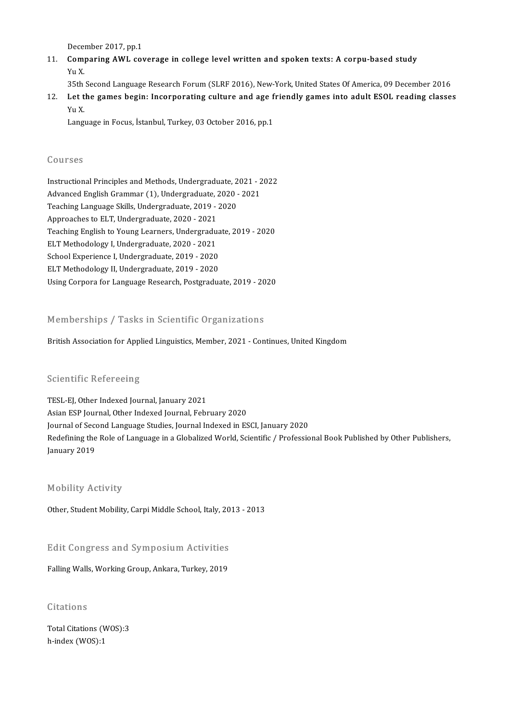December 2017, pp.1<br>Companing AWL 401

11. Comparing AWL coverage in college level written and spoken texts: A corpu-based study Yu X. Dece<br>**Com**<br>Yu X.<br>25th

35th Second Language Research Forum (SLRF 2016), New-York, United States Of America, 09 December 2016

12. Yu X.<br>12. Let the games begin: Incorporating culture and age friendly games into adult ESOL reading classes<br>12. Let the games begin: Incorporating culture and age friendly games into adult ESOL reading classes<br>12. No. 35th<br>Let t<br>Yu X.<br>Lang Let the games begin: Incorporating culture and age f<br>Yu X.<br>Language in Focus, İstanbul, Turkey, 03 October 2016, pp.1

Language in Focus, İstanbul, Turkey, 03 October 2016, pp.1<br>Courses

Courses<br>Instructional Principles and Methods, Undergraduate, 2021 - 2022<br>Advanced English Crammar (1), Undergraduate, 2020, 2021 aburbes<br>Instructional Principles and Methods, Undergraduate, 2021 - 2<br>Advanced English Grammar (1), Undergraduate, 2020 - 2021<br>Teaching Language Skills, Undergraduate, 2019, -2020 Instructional Principles and Methods, Undergraduate, 2<br>Advanced English Grammar (1), Undergraduate, 2020<br>Teaching Language Skills, Undergraduate, 2019 - 2020<br>Annreaches to ELT, Undergraduate, 2020, 2021 Advanced English Grammar (1), Undergraduate, 2020 - 2021<br>Teaching Language Skills, Undergraduate, 2019 - 2020<br>Approaches to ELT, Undergraduate, 2020 - 2021 Teaching English to Young Learners, Undergraduate, 2019 - 2020 ELT Methodology I, Undergraduate, 2020 - 2021 Teaching English to Young Learners, Undergraduate<br>ELT Methodology I, Undergraduate, 2020 - 2021<br>School Experience I, Undergraduate, 2019 - 2020<br>ELT Methodology II, Undergraduate, 2019 - 2020 ELT Methodology I, Undergraduate, 2020 - 2021<br>School Experience I, Undergraduate, 2019 - 2020<br>ELT Methodology II, Undergraduate, 2019 - 2020<br>Haing Connors for Language Bessamsh Bestamedua ELT Methodology II, Undergraduate, 2019 - 2020<br>Using Corpora for Language Research, Postgraduate, 2019 - 2020

### Memberships / Tasks in Scientific Organizations

#### British Association for Applied Linguistics, Member, 2021 - Continues, United Kingdom

### **Scientific Refereeing**

TESL-EJ, Other Indexed Journal, January 2021 Asian ESP Journal, Other Indexed Journal, February 2020 Journal of Second Language Studies, Journal Indexed in ESCI, January 2020 Redefining the Role of Language in a Globalized World, Scientific / Professional Book Published by Other Publishers, January 2019

### Mobility Activity

Other, Student Mobility, Carpi Middle School, Italy, 2013 - 2013

omer, sudent mobility, carpi middle school, italy, 20<br>Edit Congress and Symposium Activities Edit Congress and Symposium Activities<br>Falling Walls, Working Group, Ankara, Turkey, 2019

# Falling Walls, Working Group, Ankara, Turkey, 2019<br>Citations

Total Citations (WOS):3 h-index (WOS):1